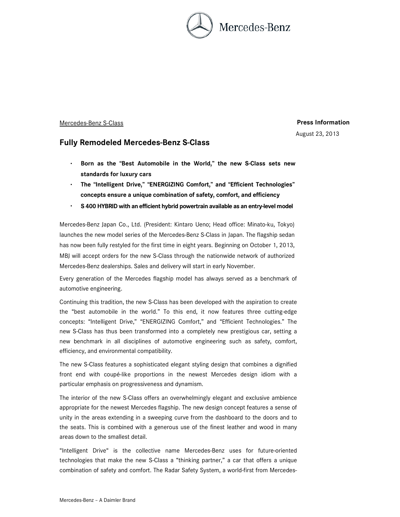

## Mercedes-Benz S-Class **Press Information**

August 23, 2013

# **Fully Remodeled Mercedes-Benz S-Class**

- ・ **Born as the "Best Automobile in the World," the new S-Class sets new standards for luxury cars**
- ・ **The "Intelligent Drive," "ENERGIZING Comfort," and "Efficient Technologies" concepts ensure a unique combination of safety, comfort, and efficiency**
- ・ **S 400 HYBRID with an efficient hybrid powertrain available as an entry-level model**

Mercedes-Benz Japan Co., Ltd. (President: Kintaro Ueno; Head office: Minato-ku, Tokyo) launches the new model series of the Mercedes-Benz S-Class in Japan. The flagship sedan has now been fully restyled for the first time in eight years. Beginning on October 1, 2013, MBJ will accept orders for the new S-Class through the nationwide network of authorized Mercedes-Benz dealerships. Sales and delivery will start in early November.

Every generation of the Mercedes flagship model has always served as a benchmark of automotive engineering.

Continuing this tradition, the new S-Class has been developed with the aspiration to create the "best automobile in the world." To this end, it now features three cutting-edge concepts: "Intelligent Drive," "ENERGIZING Comfort," and "Efficient Technologies." The new S-Class has thus been transformed into a completely new prestigious car, setting a new benchmark in all disciplines of automotive engineering such as safety, comfort, efficiency, and environmental compatibility.

The new S-Class features a sophisticated elegant styling design that combines a dignified front end with coupé-like proportions in the newest Mercedes design idiom with a particular emphasis on progressiveness and dynamism.

The interior of the new S-Class offers an overwhelmingly elegant and exclusive ambience appropriate for the newest Mercedes flagship. The new design concept features a sense of unity in the areas extending in a sweeping curve from the dashboard to the doors and to the seats. This is combined with a generous use of the finest leather and wood in many areas down to the smallest detail.

"Intelligent Drive" is the collective name Mercedes-Benz uses for future-oriented technologies that make the new S-Class a "thinking partner," a car that offers a unique combination of safety and comfort. The Radar Safety System, a world-first from Mercedes-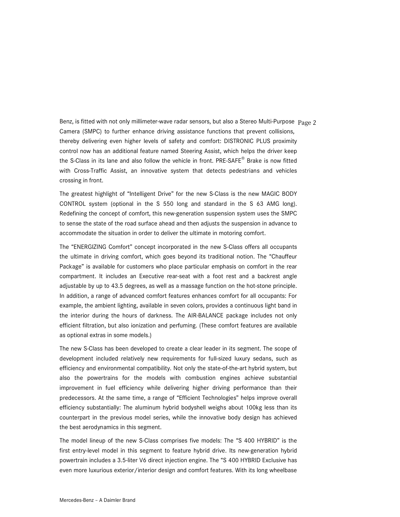Benz, is fitted with not only millimeter-wave radar sensors, but also a Stereo Multi-Purpose Page 2 Camera (SMPC) to further enhance driving assistance functions that prevent collisions, thereby delivering even higher levels of safety and comfort: DISTRONIC PLUS proximity control now has an additional feature named Steering Assist, which helps the driver keep the S-Class in its lane and also follow the vehicle in front. PRE-SAFE® Brake is now fitted with Cross-Traffic Assist, an innovative system that detects pedestrians and vehicles crossing in front.

The greatest highlight of "Intelligent Drive" for the new S-Class is the new MAGIC BODY CONTROL system (optional in the S 550 long and standard in the S 63 AMG long). Redefining the concept of comfort, this new-generation suspension system uses the SMPC to sense the state of the road surface ahead and then adjusts the suspension in advance to accommodate the situation in order to deliver the ultimate in motoring comfort.

The "ENERGIZING Comfort" concept incorporated in the new S-Class offers all occupants the ultimate in driving comfort, which goes beyond its traditional notion. The "Chauffeur Package" is available for customers who place particular emphasis on comfort in the rear compartment. It includes an Executive rear-seat with a foot rest and a backrest angle adjustable by up to 43.5 degrees, as well as a massage function on the hot-stone principle. In addition, a range of advanced comfort features enhances comfort for all occupants: For example, the ambient lighting, available in seven colors, provides a continuous light band in the interior during the hours of darkness. The AIR-BALANCE package includes not only efficient filtration, but also ionization and perfuming. (These comfort features are available as optional extras in some models.)

The new S-Class has been developed to create a clear leader in its segment. The scope of development included relatively new requirements for full-sized luxury sedans, such as efficiency and environmental compatibility. Not only the state-of-the-art hybrid system, but also the powertrains for the models with combustion engines achieve substantial improvement in fuel efficiency while delivering higher driving performance than their predecessors. At the same time, a range of "Efficient Technologies" helps improve overall efficiency substantially: The aluminum hybrid bodyshell weighs about 100kg less than its counterpart in the previous model series, while the innovative body design has achieved the best aerodynamics in this segment.

The model lineup of the new S-Class comprises five models: The "S 400 HYBRID" is the first entry-level model in this segment to feature hybrid drive. Its new-generation hybrid powertrain includes a 3.5-liter V6 direct injection engine. The "S 400 HYBRID Exclusive has even more luxurious exterior/interior design and comfort features. With its long wheelbase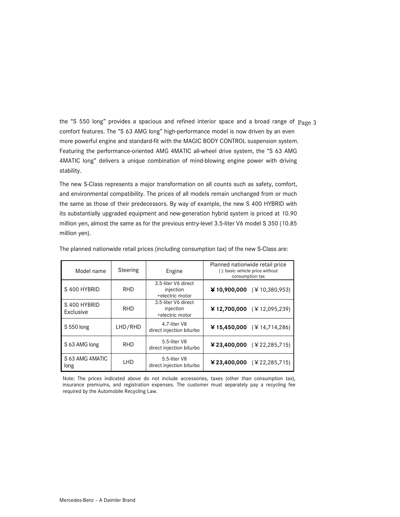the "S 550 long" provides a spacious and refined interior space and a broad range of Page 3 comfort features. The "S 63 AMG long" high-performance model is now driven by an even more powerful engine and standard-fit with the MAGIC BODY CONTROL suspension system. Featuring the performance-oriented AMG 4MATIC all-wheel drive system, the "S 63 AMG 4MATIC long" delivers a unique combination of mind-blowing engine power with driving stability.

The new S-Class represents a major transformation on all counts such as safety, comfort, and environmental compatibility. The prices of all models remain unchanged from or much the same as those of their predecessors. By way of example, the new S 400 HYBRID with its substantially upgraded equipment and new-generation hybrid system is priced at 10.90 million yen, almost the same as for the previous entry-level 3.5-liter V6 model S 350 (10.85 million yen).

| Model name                | Steering   | Engine                                              | Planned nationwide retail price<br>(): basic vehicle price without<br>consumption tax |
|---------------------------|------------|-----------------------------------------------------|---------------------------------------------------------------------------------------|
| S 400 HYBRID              | <b>RHD</b> | 3.5-liter V6 direct<br>injection<br>+electric motor | ¥ 10,900,000 (¥ 10,380,953)                                                           |
| S 400 HYBRID<br>Exclusive | <b>RHD</b> | 3.5-liter V6 direct<br>injection<br>+electric motor | ¥ 12,700,000 $(412,095,239)$                                                          |
| S 550 long                | LHD/RHD    | 4.7-liter V8<br>direct injection biturbo            | ¥ 15,450,000 $(414,714,286)$                                                          |
| S 63 AMG long             | <b>RHD</b> | 5.5-liter V8<br>direct injection biturbo            | ¥23,400,000 $(\textless 22,285,715)$                                                  |
| S 63 AMG 4MATIC<br>long   | <b>LHD</b> | 5.5-liter V8<br>direct injection biturbo            | ¥23,400,000 (¥22,285,715)                                                             |

The planned nationwide retail prices (including consumption tax) of the new S-Class are:

Note: The prices indicated above do not include accessories, taxes (other than consumption tax), insurance premiums, and registration expenses. The customer must separately pay a recycling fee required by the Automobile Recycling Law.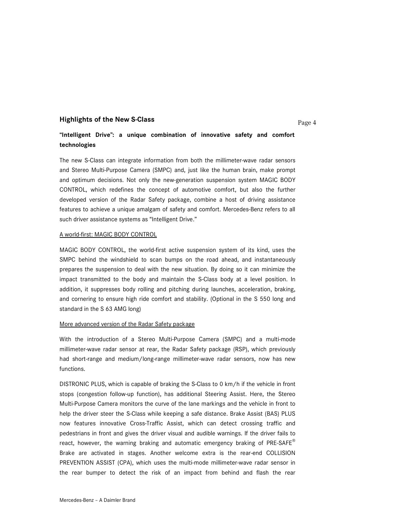# **Page 4 Highlights of the New S-Class**

## **"Intelligent Drive": a unique combination of innovative safety and comfort technologies**

The new S-Class can integrate information from both the millimeter-wave radar sensors and Stereo Multi-Purpose Camera (SMPC) and, just like the human brain, make prompt and optimum decisions. Not only the new-generation suspension system MAGIC BODY CONTROL, which redefines the concept of automotive comfort, but also the further developed version of the Radar Safety package, combine a host of driving assistance features to achieve a unique amalgam of safety and comfort. Mercedes-Benz refers to all such driver assistance systems as "Intelligent Drive."

#### A world-first: MAGIC BODY CONTROL

MAGIC BODY CONTROL, the world-first active suspension system of its kind, uses the SMPC behind the windshield to scan bumps on the road ahead, and instantaneously prepares the suspension to deal with the new situation. By doing so it can minimize the impact transmitted to the body and maintain the S-Class body at a level position. In addition, it suppresses body rolling and pitching during launches, acceleration, braking, and cornering to ensure high ride comfort and stability. (Optional in the S 550 long and standard in the S 63 AMG long)

#### More advanced version of the Radar Safety package

With the introduction of a Stereo Multi-Purpose Camera (SMPC) and a multi-mode millimeter-wave radar sensor at rear, the Radar Safety package (RSP), which previously had short-range and medium/long-range millimeter-wave radar sensors, now has new functions.

DISTRONIC PLUS, which is capable of braking the S-Class to 0 km/h if the vehicle in front stops (congestion follow-up function), has additional Steering Assist. Here, the Stereo Multi-Purpose Camera monitors the curve of the lane markings and the vehicle in front to help the driver steer the S-Class while keeping a safe distance. Brake Assist (BAS) PLUS now features innovative Cross-Traffic Assist, which can detect crossing traffic and pedestrians in front and gives the driver visual and audible warnings. If the driver fails to react, however, the warning braking and automatic emergency braking of PRE-SAFE<sup>®</sup> Brake are activated in stages. Another welcome extra is the rear-end COLLISION PREVENTION ASSIST (CPA), which uses the multi-mode millimeter-wave radar sensor in the rear bumper to detect the risk of an impact from behind and flash the rear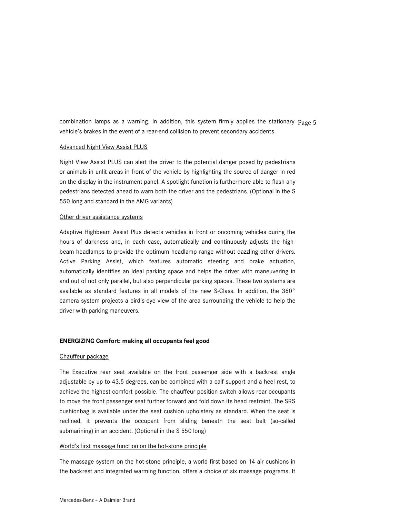combination lamps as a warning. In addition, this system firmly applies the stationary Page 5 vehicle's brakes in the event of a rear-end collision to prevent secondary accidents.

#### Advanced Night View Assist PLUS

Night View Assist PLUS can alert the driver to the potential danger posed by pedestrians or animals in unlit areas in front of the vehicle by highlighting the source of danger in red on the display in the instrument panel. A spotlight function is furthermore able to flash any pedestrians detected ahead to warn both the driver and the pedestrians. (Optional in the S 550 long and standard in the AMG variants)

#### Other driver assistance systems

Adaptive Highbeam Assist Plus detects vehicles in front or oncoming vehicles during the hours of darkness and, in each case, automatically and continuously adjusts the highbeam headlamps to provide the optimum headlamp range without dazzling other drivers. Active Parking Assist, which features automatic steering and brake actuation, automatically identifies an ideal parking space and helps the driver with maneuvering in and out of not only parallel, but also perpendicular parking spaces. These two systems are available as standard features in all models of the new S-Class. In addition, the 360° camera system projects a bird's-eye view of the area surrounding the vehicle to help the driver with parking maneuvers.

#### **ENERGIZING Comfort: making all occupants feel good**

#### Chauffeur package

The Executive rear seat available on the front passenger side with a backrest angle adjustable by up to 43.5 degrees, can be combined with a calf support and a heel rest, to achieve the highest comfort possible. The chauffeur position switch allows rear occupants to move the front passenger seat further forward and fold down its head restraint. The SRS cushionbag is available under the seat cushion upholstery as standard. When the seat is reclined, it prevents the occupant from sliding beneath the seat belt (so-called submarining) in an accident. (Optional in the S 550 long)

#### World's first massage function on the hot-stone principle

The massage system on the hot-stone principle, a world first based on 14 air cushions in the backrest and integrated warming function, offers a choice of six massage programs. It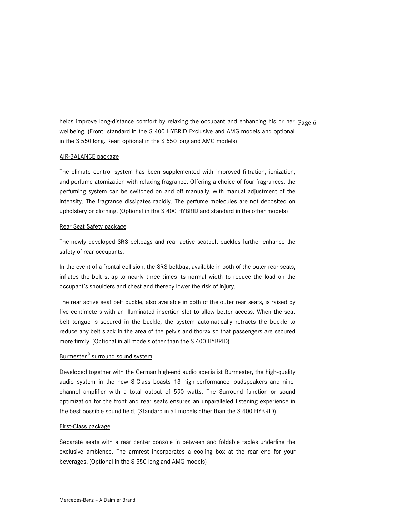helps improve long-distance comfort by relaxing the occupant and enhancing his or her Page 6 wellbeing. (Front: standard in the S 400 HYBRID Exclusive and AMG models and optional in the S 550 long. Rear: optional in the S 550 long and AMG models)

#### AIR-BALANCE package

The climate control system has been supplemented with improved filtration, ionization, and perfume atomization with relaxing fragrance. Offering a choice of four fragrances, the perfuming system can be switched on and off manually, with manual adjustment of the intensity. The fragrance dissipates rapidly. The perfume molecules are not deposited on upholstery or clothing. (Optional in the S 400 HYBRID and standard in the other models)

### Rear Seat Safety package

The newly developed SRS beltbags and rear active seatbelt buckles further enhance the safety of rear occupants.

In the event of a frontal collision, the SRS beltbag, available in both of the outer rear seats, inflates the belt strap to nearly three times its normal width to reduce the load on the occupant's shoulders and chest and thereby lower the risk of injury.

The rear active seat belt buckle, also available in both of the outer rear seats, is raised by five centimeters with an illuminated insertion slot to allow better access. When the seat belt tongue is secured in the buckle, the system automatically retracts the buckle to reduce any belt slack in the area of the pelvis and thorax so that passengers are secured more firmly. (Optional in all models other than the S 400 HYBRID)

## Burmester® surround sound system

Developed together with the German high-end audio specialist Burmester, the high-quality audio system in the new S-Class boasts 13 high-performance loudspeakers and ninechannel amplifier with a total output of 590 watts. The Surround function or sound optimization for the front and rear seats ensures an unparalleled listening experience in the best possible sound field. (Standard in all models other than the S 400 HYBRID)

#### First-Class package

Separate seats with a rear center console in between and foldable tables underline the exclusive ambience. The armrest incorporates a cooling box at the rear end for your beverages. (Optional in the S 550 long and AMG models)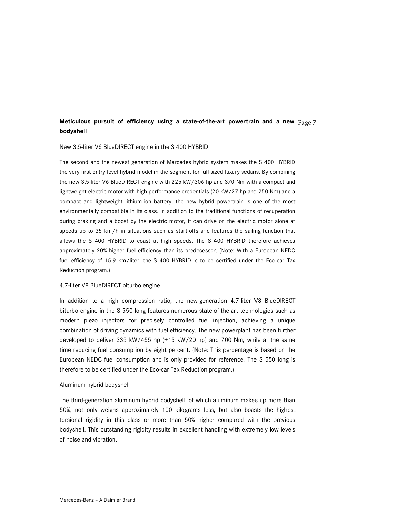## **Meticulous pursuit of efficiency using a state-of-the-art powertrain and a new** Page 7 **bodyshell**

#### New 3.5-liter V6 BlueDIRECT engine in the S 400 HYBRID

The second and the newest generation of Mercedes hybrid system makes the S 400 HYBRID the very first entry-level hybrid model in the segment for full-sized luxury sedans. By combining the new 3.5-liter V6 BlueDIRECT engine with 225 kW/306 hp and 370 Nm with a compact and lightweight electric motor with high performance credentials (20 kW/27 hp and 250 Nm) and a compact and lightweight lithium-ion battery, the new hybrid powertrain is one of the most environmentally compatible in its class. In addition to the traditional functions of recuperation during braking and a boost by the electric motor, it can drive on the electric motor alone at speeds up to 35 km/h in situations such as start-offs and features the sailing function that allows the S 400 HYBRID to coast at high speeds. The S 400 HYBRID therefore achieves approximately 20% higher fuel efficiency than its predecessor. (Note: With a European NEDC fuel efficiency of 15.9 km/liter, the S 400 HYBRID is to be certified under the Eco-car Tax Reduction program.)

#### 4.7-liter V8 BlueDIRECT biturbo engine

In addition to a high compression ratio, the new-generation 4.7-liter V8 BlueDIRECT biturbo engine in the S 550 long features numerous state-of-the-art technologies such as modern piezo injectors for precisely controlled fuel injection, achieving a unique combination of driving dynamics with fuel efficiency. The new powerplant has been further developed to deliver 335 kW/455 hp (+15 kW/20 hp) and 700 Nm, while at the same time reducing fuel consumption by eight percent. (Note: This percentage is based on the European NEDC fuel consumption and is only provided for reference. The S 550 long is therefore to be certified under the Eco-car Tax Reduction program.)

#### Aluminum hybrid bodyshell

The third-generation aluminum hybrid bodyshell, of which aluminum makes up more than 50%, not only weighs approximately 100 kilograms less, but also boasts the highest torsional rigidity in this class or more than 50% higher compared with the previous bodyshell. This outstanding rigidity results in excellent handling with extremely low levels of noise and vibration.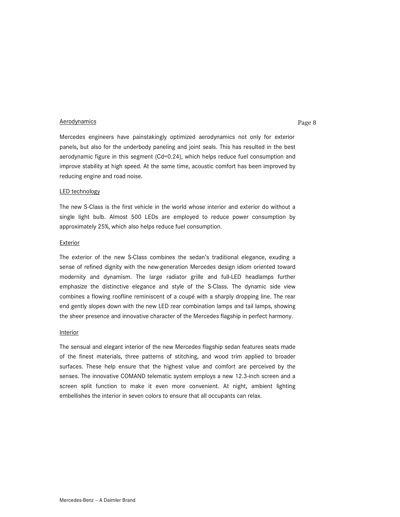#### Aerodynamics **Page 8**

Mercedes engineers have painstakingly optimized aerodynamics not only for exterior panels, but also for the underbody paneling and joint seals. This has resulted in the best aerodynamic figure in this segment (Cd=0.24), which helps reduce fuel consumption and improve stability at high speed. At the same time, acoustic comfort has been improved by reducing engine and road noise.

#### LED technology

The new S-Class is the first vehicle in the world whose interior and exterior do without a single light bulb. Almost 500 LEDs are employed to reduce power consumption by approximately 25%, which also helps reduce fuel consumption.

#### Exterior

The exterior of the new S-Class combines the sedan's traditional elegance, exuding a sense of refined dignity with the new-generation Mercedes design idiom oriented toward modernity and dynamism. The large radiator grille and full-LED headlamps further emphasize the distinctive elegance and style of the S-Class. The dynamic side view combines a flowing roofline reminiscent of a coupé with a sharply dropping line. The rear end gently slopes down with the new LED rear combination lamps and tail lamps, showing the sheer presence and innovative character of the Mercedes flagship in perfect harmony.

#### Interior

The sensual and elegant interior of the new Mercedes flagship sedan features seats made of the finest materials, three patterns of stitching, and wood trim applied to broader surfaces. These help ensure that the highest value and comfort are perceived by the senses. The innovative COMAND telematic system employs a new 12.3-inch screen and a screen split function to make it even more convenient. At night, ambient lighting embellishes the interior in seven colors to ensure that all occupants can relax.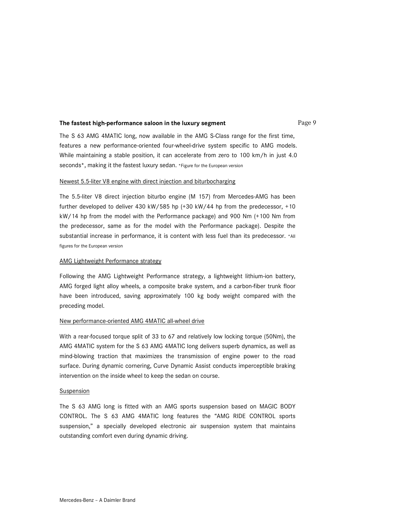## **The fastest high-performance saloon in the luxury segment** Page 9

The S 63 AMG 4MATIC long, now available in the AMG S-Class range for the first time, features a new performance-oriented four-wheel-drive system specific to AMG models. While maintaining a stable position, it can accelerate from zero to 100 km/h in just 4.0 seconds\*, making it the fastest luxury sedan. \*Figure for the European version

#### Newest 5.5-liter V8 engine with direct injection and biturbocharging

The 5.5-liter V8 direct injection biturbo engine (M 157) from Mercedes-AMG has been further developed to deliver 430 kW/585 hp (+30 kW/44 hp from the predecessor, +10 kW/14 hp from the model with the Performance package) and 900 Nm (+100 Nm from the predecessor, same as for the model with the Performance package). Despite the substantial increase in performance, it is content with less fuel than its predecessor. \*All figures for the European version

#### AMG Lightweight Performance strategy

Following the AMG Lightweight Performance strategy, a lightweight lithium-ion battery, AMG forged light alloy wheels, a composite brake system, and a carbon-fiber trunk floor have been introduced, saving approximately 100 kg body weight compared with the preceding model.

#### New performance-oriented AMG 4MATIC all-wheel drive

With a rear-focused torque split of 33 to 67 and relatively low locking torque (50Nm), the AMG 4MATIC system for the S 63 AMG 4MATIC long delivers superb dynamics, as well as mind-blowing traction that maximizes the transmission of engine power to the road surface. During dynamic cornering, Curve Dynamic Assist conducts imperceptible braking intervention on the inside wheel to keep the sedan on course.

#### Suspension

The S 63 AMG long is fitted with an AMG sports suspension based on MAGIC BODY CONTROL. The S 63 AMG 4MATIC long features the "AMG RIDE CONTROL sports suspension," a specially developed electronic air suspension system that maintains outstanding comfort even during dynamic driving.